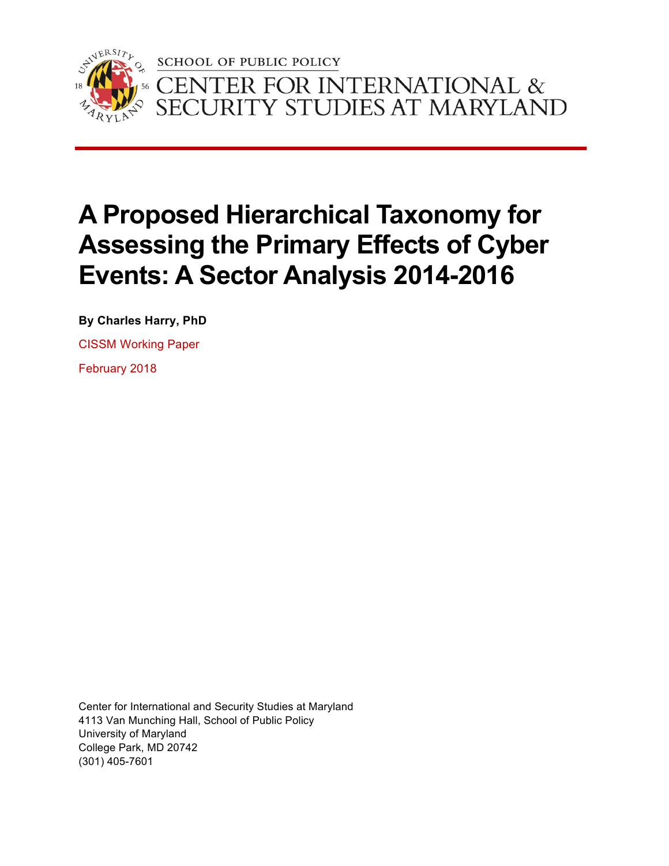

**SCHOOL OF PUBLIC POLICY** 'ER FOR INTERNATIONAL &<br>RITY STUDIES AT MARYLAND  $\bigcap$ 

# **A Proposed Hierarchical Taxonomy for Assessing the Primary Effects of Cyber Events: A Sector Analysis 2014-2016**

**By Charles Harry, PhD**

CISSM Working Paper

February 2018

Center for International and Security Studies at Maryland 4113 Van Munching Hall, School of Public Policy University of Maryland College Park, MD 20742 (301) 405-7601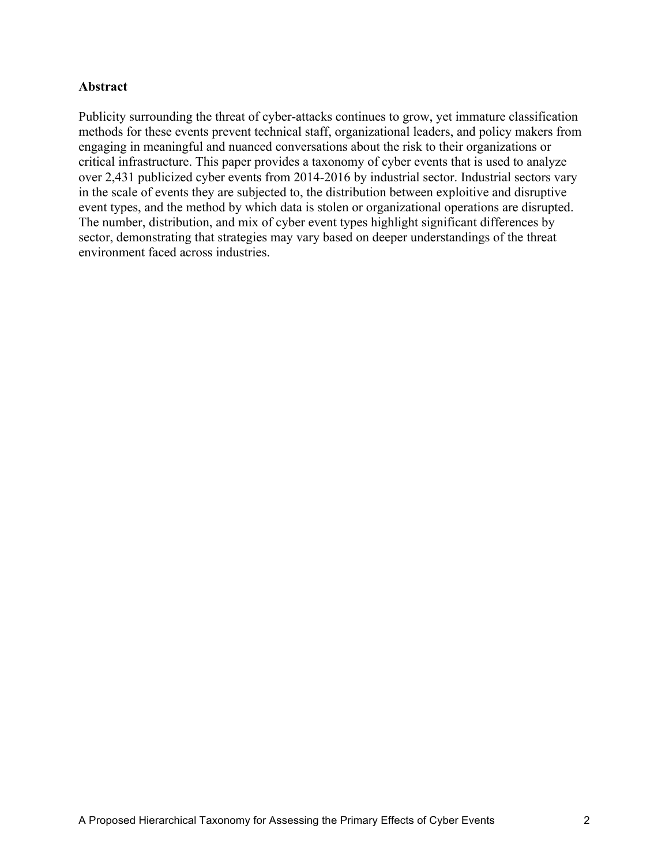## **Abstract**

Publicity surrounding the threat of cyber-attacks continues to grow, yet immature classification methods for these events prevent technical staff, organizational leaders, and policy makers from engaging in meaningful and nuanced conversations about the risk to their organizations or critical infrastructure. This paper provides a taxonomy of cyber events that is used to analyze over 2,431 publicized cyber events from 2014-2016 by industrial sector. Industrial sectors vary in the scale of events they are subjected to, the distribution between exploitive and disruptive event types, and the method by which data is stolen or organizational operations are disrupted. The number, distribution, and mix of cyber event types highlight significant differences by sector, demonstrating that strategies may vary based on deeper understandings of the threat environment faced across industries.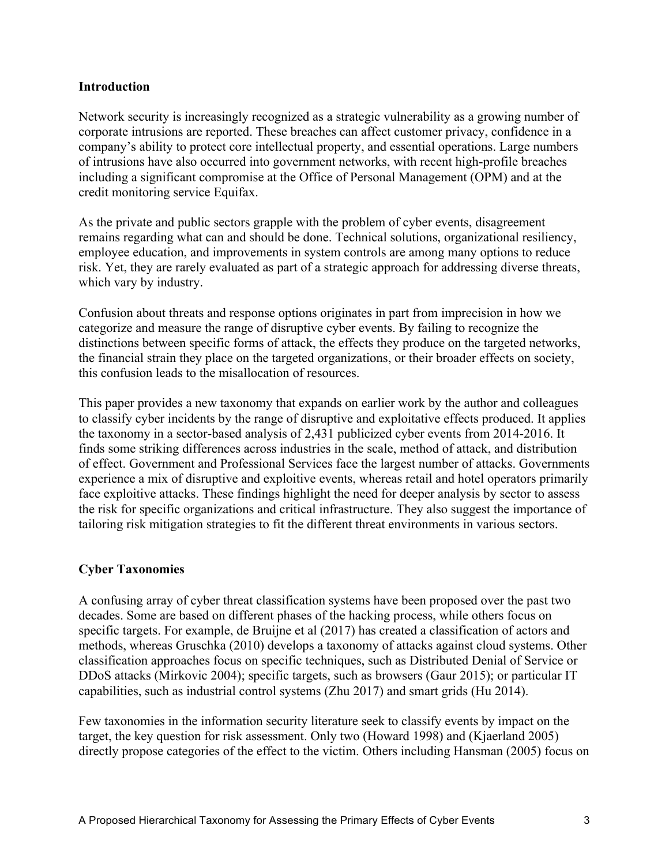### **Introduction**

Network security is increasingly recognized as a strategic vulnerability as a growing number of corporate intrusions are reported. These breaches can affect customer privacy, confidence in a company's ability to protect core intellectual property, and essential operations. Large numbers of intrusions have also occurred into government networks, with recent high-profile breaches including a significant compromise at the Office of Personal Management (OPM) and at the credit monitoring service Equifax.

As the private and public sectors grapple with the problem of cyber events, disagreement remains regarding what can and should be done. Technical solutions, organizational resiliency, employee education, and improvements in system controls are among many options to reduce risk. Yet, they are rarely evaluated as part of a strategic approach for addressing diverse threats, which vary by industry.

Confusion about threats and response options originates in part from imprecision in how we categorize and measure the range of disruptive cyber events. By failing to recognize the distinctions between specific forms of attack, the effects they produce on the targeted networks, the financial strain they place on the targeted organizations, or their broader effects on society, this confusion leads to the misallocation of resources.

This paper provides a new taxonomy that expands on earlier work by the author and colleagues to classify cyber incidents by the range of disruptive and exploitative effects produced. It applies the taxonomy in a sector-based analysis of 2,431 publicized cyber events from 2014-2016. It finds some striking differences across industries in the scale, method of attack, and distribution of effect. Government and Professional Services face the largest number of attacks. Governments experience a mix of disruptive and exploitive events, whereas retail and hotel operators primarily face exploitive attacks. These findings highlight the need for deeper analysis by sector to assess the risk for specific organizations and critical infrastructure. They also suggest the importance of tailoring risk mitigation strategies to fit the different threat environments in various sectors.

## **Cyber Taxonomies**

A confusing array of cyber threat classification systems have been proposed over the past two decades. Some are based on different phases of the hacking process, while others focus on specific targets. For example, de Bruijne et al (2017) has created a classification of actors and methods, whereas Gruschka (2010) develops a taxonomy of attacks against cloud systems. Other classification approaches focus on specific techniques, such as Distributed Denial of Service or DDoS attacks (Mirkovic 2004); specific targets, such as browsers (Gaur 2015); or particular IT capabilities, such as industrial control systems (Zhu 2017) and smart grids (Hu 2014).

Few taxonomies in the information security literature seek to classify events by impact on the target, the key question for risk assessment. Only two (Howard 1998) and (Kjaerland 2005) directly propose categories of the effect to the victim. Others including Hansman (2005) focus on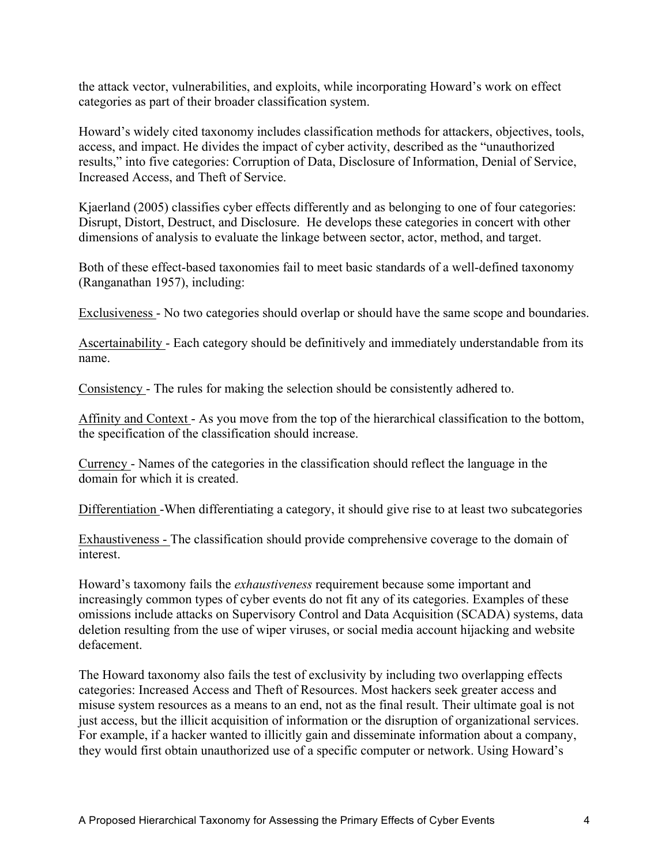the attack vector, vulnerabilities, and exploits, while incorporating Howard's work on effect categories as part of their broader classification system.

Howard's widely cited taxonomy includes classification methods for attackers, objectives, tools, access, and impact. He divides the impact of cyber activity, described as the "unauthorized results," into five categories: Corruption of Data, Disclosure of Information, Denial of Service, Increased Access, and Theft of Service.

Kjaerland (2005) classifies cyber effects differently and as belonging to one of four categories: Disrupt, Distort, Destruct, and Disclosure. He develops these categories in concert with other dimensions of analysis to evaluate the linkage between sector, actor, method, and target.

Both of these effect-based taxonomies fail to meet basic standards of a well-defined taxonomy (Ranganathan 1957), including:

Exclusiveness - No two categories should overlap or should have the same scope and boundaries.

Ascertainability - Each category should be definitively and immediately understandable from its name.

Consistency - The rules for making the selection should be consistently adhered to.

Affinity and Context - As you move from the top of the hierarchical classification to the bottom, the specification of the classification should increase.

Currency - Names of the categories in the classification should reflect the language in the domain for which it is created.

Differentiation -When differentiating a category, it should give rise to at least two subcategories

Exhaustiveness - The classification should provide comprehensive coverage to the domain of interest.

Howard's taxomony fails the *exhaustiveness* requirement because some important and increasingly common types of cyber events do not fit any of its categories. Examples of these omissions include attacks on Supervisory Control and Data Acquisition (SCADA) systems, data deletion resulting from the use of wiper viruses, or social media account hijacking and website defacement.

The Howard taxonomy also fails the test of exclusivity by including two overlapping effects categories: Increased Access and Theft of Resources. Most hackers seek greater access and misuse system resources as a means to an end, not as the final result. Their ultimate goal is not just access, but the illicit acquisition of information or the disruption of organizational services. For example, if a hacker wanted to illicitly gain and disseminate information about a company, they would first obtain unauthorized use of a specific computer or network. Using Howard's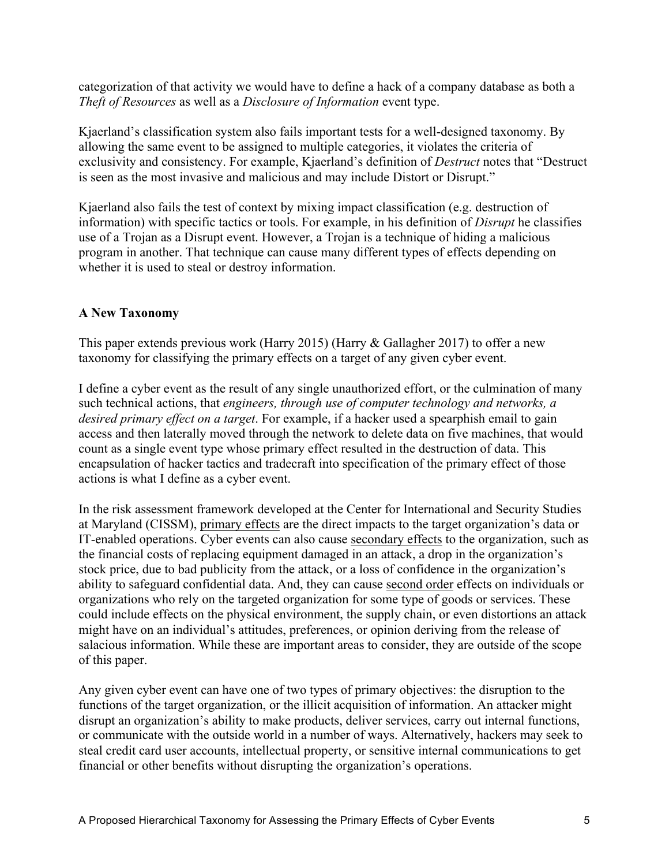categorization of that activity we would have to define a hack of a company database as both a *Theft of Resources* as well as a *Disclosure of Information* event type.

Kjaerland's classification system also fails important tests for a well-designed taxonomy. By allowing the same event to be assigned to multiple categories, it violates the criteria of exclusivity and consistency. For example, Kjaerland's definition of *Destruct* notes that "Destruct is seen as the most invasive and malicious and may include Distort or Disrupt."

Kjaerland also fails the test of context by mixing impact classification (e.g. destruction of information) with specific tactics or tools. For example, in his definition of *Disrupt* he classifies use of a Trojan as a Disrupt event. However, a Trojan is a technique of hiding a malicious program in another. That technique can cause many different types of effects depending on whether it is used to steal or destroy information.

# **A New Taxonomy**

This paper extends previous work (Harry 2015) (Harry & Gallagher 2017) to offer a new taxonomy for classifying the primary effects on a target of any given cyber event.

I define a cyber event as the result of any single unauthorized effort, or the culmination of many such technical actions, that *engineers, through use of computer technology and networks, a desired primary effect on a target*. For example, if a hacker used a spearphish email to gain access and then laterally moved through the network to delete data on five machines, that would count as a single event type whose primary effect resulted in the destruction of data. This encapsulation of hacker tactics and tradecraft into specification of the primary effect of those actions is what I define as a cyber event.

In the risk assessment framework developed at the Center for International and Security Studies at Maryland (CISSM), primary effects are the direct impacts to the target organization's data or IT-enabled operations. Cyber events can also cause secondary effects to the organization, such as the financial costs of replacing equipment damaged in an attack, a drop in the organization's stock price, due to bad publicity from the attack, or a loss of confidence in the organization's ability to safeguard confidential data. And, they can cause second order effects on individuals or organizations who rely on the targeted organization for some type of goods or services. These could include effects on the physical environment, the supply chain, or even distortions an attack might have on an individual's attitudes, preferences, or opinion deriving from the release of salacious information. While these are important areas to consider, they are outside of the scope of this paper.

Any given cyber event can have one of two types of primary objectives: the disruption to the functions of the target organization, or the illicit acquisition of information. An attacker might disrupt an organization's ability to make products, deliver services, carry out internal functions, or communicate with the outside world in a number of ways. Alternatively, hackers may seek to steal credit card user accounts, intellectual property, or sensitive internal communications to get financial or other benefits without disrupting the organization's operations.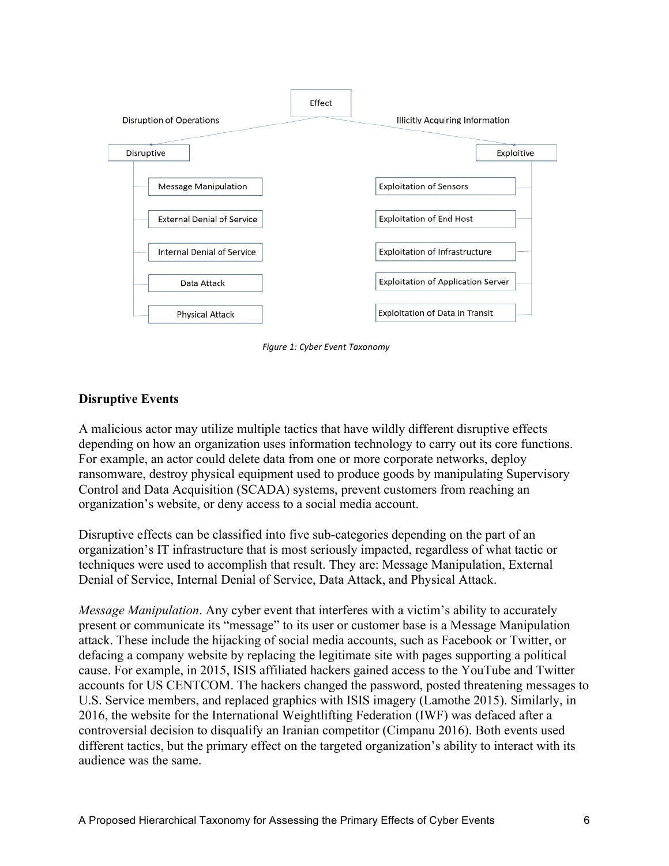

**Figure 1: Cyber Event Taxonomy** 

# **Disruptive Events**

A malicious actor may utilize multiple tactics that have wildly different disruptive effects depending on how an organization uses information technology to carry out its core functions. For example, an actor could delete data from one or more corporate networks, deploy ransomware, destroy physical equipment used to produce goods by manipulating Supervisory Control and Data Acquisition (SCADA) systems, prevent customers from reaching an organization's website, or deny access to a social media account.

Disruptive effects can be classified into five sub-categories depending on the part of an organization's IT infrastructure that is most seriously impacted, regardless of what tactic or techniques were used to accomplish that result. They are: Message Manipulation, External Denial of Service, Internal Denial of Service, Data Attack, and Physical Attack.

*Message Manipulation*. Any cyber event that interferes with a victim's ability to accurately present or communicate its "message" to its user or customer base is a Message Manipulation attack. These include the hijacking of social media accounts, such as Facebook or Twitter, or defacing a company website by replacing the legitimate site with pages supporting a political cause. For example, in 2015, ISIS affiliated hackers gained access to the YouTube and Twitter accounts for US CENTCOM. The hackers changed the password, posted threatening messages to U.S. Service members, and replaced graphics with ISIS imagery (Lamothe 2015). Similarly, in 2016, the website for the International Weightlifting Federation (IWF) was defaced after a controversial decision to disqualify an Iranian competitor (Cimpanu 2016). Both events used different tactics, but the primary effect on the targeted organization's ability to interact with its audience was the same.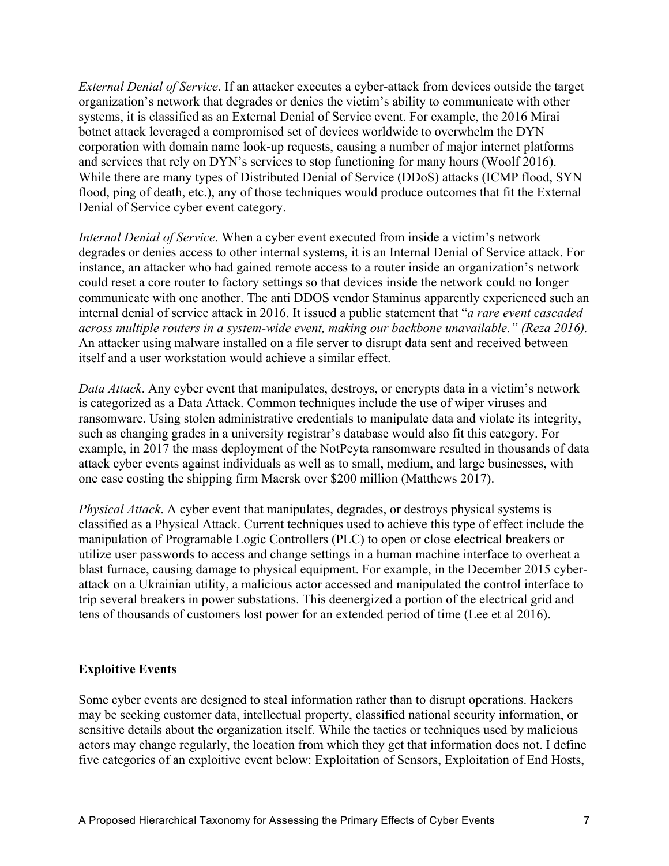*External Denial of Service*. If an attacker executes a cyber-attack from devices outside the target organization's network that degrades or denies the victim's ability to communicate with other systems, it is classified as an External Denial of Service event. For example, the 2016 Mirai botnet attack leveraged a compromised set of devices worldwide to overwhelm the DYN corporation with domain name look-up requests, causing a number of major internet platforms and services that rely on DYN's services to stop functioning for many hours (Woolf 2016). While there are many types of Distributed Denial of Service (DDoS) attacks (ICMP flood, SYN flood, ping of death, etc.), any of those techniques would produce outcomes that fit the External Denial of Service cyber event category.

*Internal Denial of Service*. When a cyber event executed from inside a victim's network degrades or denies access to other internal systems, it is an Internal Denial of Service attack. For instance, an attacker who had gained remote access to a router inside an organization's network could reset a core router to factory settings so that devices inside the network could no longer communicate with one another. The anti DDOS vendor Staminus apparently experienced such an internal denial of service attack in 2016. It issued a public statement that "*a rare event cascaded across multiple routers in a system-wide event, making our backbone unavailable." (Reza 2016).*  An attacker using malware installed on a file server to disrupt data sent and received between itself and a user workstation would achieve a similar effect.

*Data Attack*. Any cyber event that manipulates, destroys, or encrypts data in a victim's network is categorized as a Data Attack. Common techniques include the use of wiper viruses and ransomware. Using stolen administrative credentials to manipulate data and violate its integrity, such as changing grades in a university registrar's database would also fit this category. For example, in 2017 the mass deployment of the NotPeyta ransomware resulted in thousands of data attack cyber events against individuals as well as to small, medium, and large businesses, with one case costing the shipping firm Maersk over \$200 million (Matthews 2017).

*Physical Attack*. A cyber event that manipulates, degrades, or destroys physical systems is classified as a Physical Attack. Current techniques used to achieve this type of effect include the manipulation of Programable Logic Controllers (PLC) to open or close electrical breakers or utilize user passwords to access and change settings in a human machine interface to overheat a blast furnace, causing damage to physical equipment. For example, in the December 2015 cyberattack on a Ukrainian utility, a malicious actor accessed and manipulated the control interface to trip several breakers in power substations. This deenergized a portion of the electrical grid and tens of thousands of customers lost power for an extended period of time (Lee et al 2016).

## **Exploitive Events**

Some cyber events are designed to steal information rather than to disrupt operations. Hackers may be seeking customer data, intellectual property, classified national security information, or sensitive details about the organization itself. While the tactics or techniques used by malicious actors may change regularly, the location from which they get that information does not. I define five categories of an exploitive event below: Exploitation of Sensors, Exploitation of End Hosts,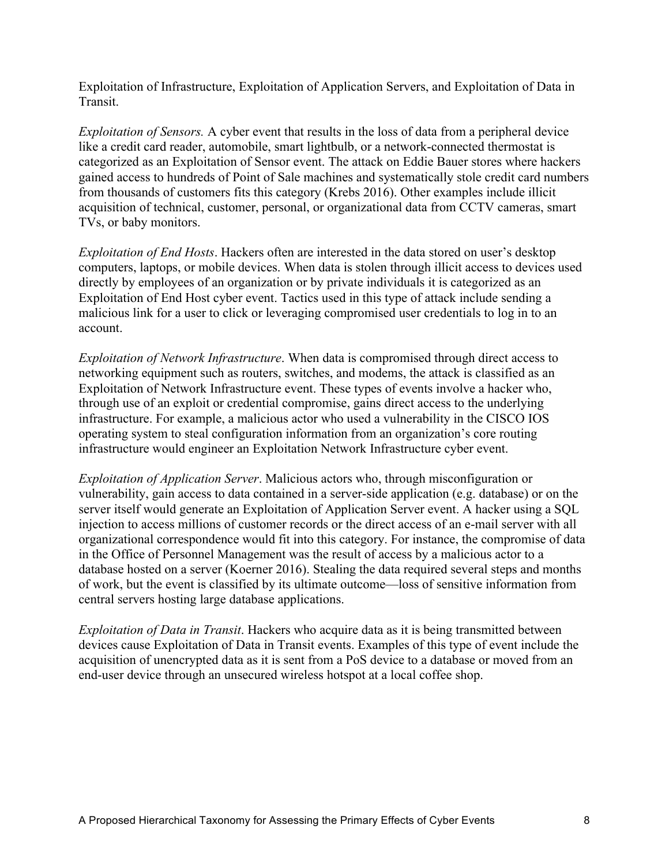Exploitation of Infrastructure, Exploitation of Application Servers, and Exploitation of Data in Transit.

*Exploitation of Sensors.* A cyber event that results in the loss of data from a peripheral device like a credit card reader, automobile, smart lightbulb, or a network-connected thermostat is categorized as an Exploitation of Sensor event. The attack on Eddie Bauer stores where hackers gained access to hundreds of Point of Sale machines and systematically stole credit card numbers from thousands of customers fits this category (Krebs 2016). Other examples include illicit acquisition of technical, customer, personal, or organizational data from CCTV cameras, smart TVs, or baby monitors.

*Exploitation of End Hosts*. Hackers often are interested in the data stored on user's desktop computers, laptops, or mobile devices. When data is stolen through illicit access to devices used directly by employees of an organization or by private individuals it is categorized as an Exploitation of End Host cyber event. Tactics used in this type of attack include sending a malicious link for a user to click or leveraging compromised user credentials to log in to an account.

*Exploitation of Network Infrastructure*. When data is compromised through direct access to networking equipment such as routers, switches, and modems, the attack is classified as an Exploitation of Network Infrastructure event. These types of events involve a hacker who, through use of an exploit or credential compromise, gains direct access to the underlying infrastructure. For example, a malicious actor who used a vulnerability in the CISCO IOS operating system to steal configuration information from an organization's core routing infrastructure would engineer an Exploitation Network Infrastructure cyber event.

*Exploitation of Application Server*. Malicious actors who, through misconfiguration or vulnerability, gain access to data contained in a server-side application (e.g. database) or on the server itself would generate an Exploitation of Application Server event. A hacker using a SQL injection to access millions of customer records or the direct access of an e-mail server with all organizational correspondence would fit into this category. For instance, the compromise of data in the Office of Personnel Management was the result of access by a malicious actor to a database hosted on a server (Koerner 2016). Stealing the data required several steps and months of work, but the event is classified by its ultimate outcome—loss of sensitive information from central servers hosting large database applications.

*Exploitation of Data in Transit*. Hackers who acquire data as it is being transmitted between devices cause Exploitation of Data in Transit events. Examples of this type of event include the acquisition of unencrypted data as it is sent from a PoS device to a database or moved from an end-user device through an unsecured wireless hotspot at a local coffee shop.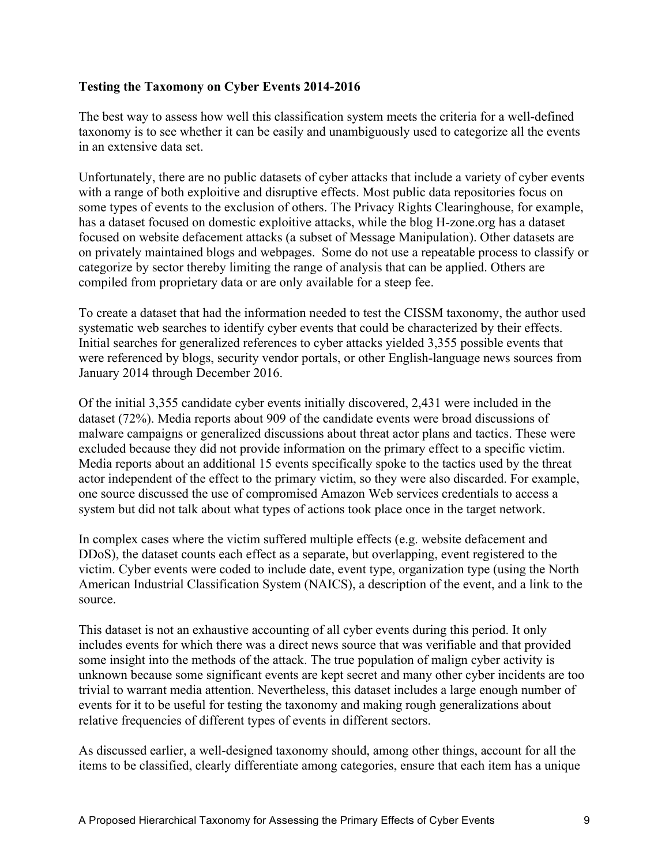# **Testing the Taxomony on Cyber Events 2014-2016**

The best way to assess how well this classification system meets the criteria for a well-defined taxonomy is to see whether it can be easily and unambiguously used to categorize all the events in an extensive data set.

Unfortunately, there are no public datasets of cyber attacks that include a variety of cyber events with a range of both exploitive and disruptive effects. Most public data repositories focus on some types of events to the exclusion of others. The Privacy Rights Clearinghouse, for example, has a dataset focused on domestic exploitive attacks, while the blog H-zone.org has a dataset focused on website defacement attacks (a subset of Message Manipulation). Other datasets are on privately maintained blogs and webpages. Some do not use a repeatable process to classify or categorize by sector thereby limiting the range of analysis that can be applied. Others are compiled from proprietary data or are only available for a steep fee.

To create a dataset that had the information needed to test the CISSM taxonomy, the author used systematic web searches to identify cyber events that could be characterized by their effects. Initial searches for generalized references to cyber attacks yielded 3,355 possible events that were referenced by blogs, security vendor portals, or other English-language news sources from January 2014 through December 2016.

Of the initial 3,355 candidate cyber events initially discovered, 2,431 were included in the dataset (72%). Media reports about 909 of the candidate events were broad discussions of malware campaigns or generalized discussions about threat actor plans and tactics. These were excluded because they did not provide information on the primary effect to a specific victim. Media reports about an additional 15 events specifically spoke to the tactics used by the threat actor independent of the effect to the primary victim, so they were also discarded. For example, one source discussed the use of compromised Amazon Web services credentials to access a system but did not talk about what types of actions took place once in the target network.

In complex cases where the victim suffered multiple effects (e.g. website defacement and DDoS), the dataset counts each effect as a separate, but overlapping, event registered to the victim. Cyber events were coded to include date, event type, organization type (using the North American Industrial Classification System (NAICS), a description of the event, and a link to the source.

This dataset is not an exhaustive accounting of all cyber events during this period. It only includes events for which there was a direct news source that was verifiable and that provided some insight into the methods of the attack. The true population of malign cyber activity is unknown because some significant events are kept secret and many other cyber incidents are too trivial to warrant media attention. Nevertheless, this dataset includes a large enough number of events for it to be useful for testing the taxonomy and making rough generalizations about relative frequencies of different types of events in different sectors.

As discussed earlier, a well-designed taxonomy should, among other things, account for all the items to be classified, clearly differentiate among categories, ensure that each item has a unique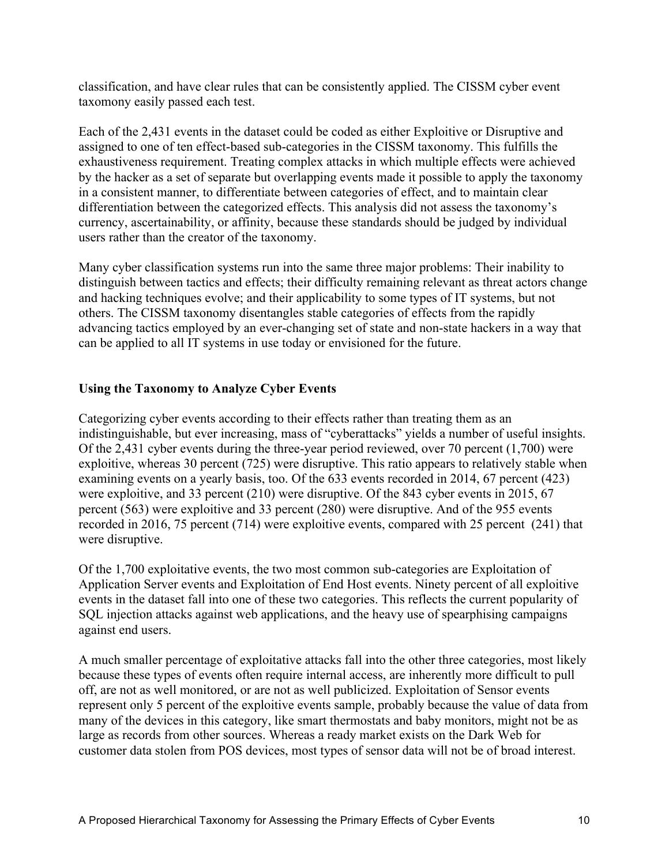classification, and have clear rules that can be consistently applied. The CISSM cyber event taxomony easily passed each test.

Each of the 2,431 events in the dataset could be coded as either Exploitive or Disruptive and assigned to one of ten effect-based sub-categories in the CISSM taxonomy. This fulfills the exhaustiveness requirement. Treating complex attacks in which multiple effects were achieved by the hacker as a set of separate but overlapping events made it possible to apply the taxonomy in a consistent manner, to differentiate between categories of effect, and to maintain clear differentiation between the categorized effects. This analysis did not assess the taxonomy's currency, ascertainability, or affinity, because these standards should be judged by individual users rather than the creator of the taxonomy.

Many cyber classification systems run into the same three major problems: Their inability to distinguish between tactics and effects; their difficulty remaining relevant as threat actors change and hacking techniques evolve; and their applicability to some types of IT systems, but not others. The CISSM taxonomy disentangles stable categories of effects from the rapidly advancing tactics employed by an ever-changing set of state and non-state hackers in a way that can be applied to all IT systems in use today or envisioned for the future.

# **Using the Taxonomy to Analyze Cyber Events**

Categorizing cyber events according to their effects rather than treating them as an indistinguishable, but ever increasing, mass of "cyberattacks" yields a number of useful insights. Of the 2,431 cyber events during the three-year period reviewed, over 70 percent (1,700) were exploitive, whereas 30 percent (725) were disruptive. This ratio appears to relatively stable when examining events on a yearly basis, too. Of the 633 events recorded in 2014, 67 percent (423) were exploitive, and 33 percent (210) were disruptive. Of the 843 cyber events in 2015, 67 percent (563) were exploitive and 33 percent (280) were disruptive. And of the 955 events recorded in 2016, 75 percent (714) were exploitive events, compared with 25 percent (241) that were disruptive.

Of the 1,700 exploitative events, the two most common sub-categories are Exploitation of Application Server events and Exploitation of End Host events. Ninety percent of all exploitive events in the dataset fall into one of these two categories. This reflects the current popularity of SQL injection attacks against web applications, and the heavy use of spearphising campaigns against end users.

A much smaller percentage of exploitative attacks fall into the other three categories, most likely because these types of events often require internal access, are inherently more difficult to pull off, are not as well monitored, or are not as well publicized. Exploitation of Sensor events represent only 5 percent of the exploitive events sample, probably because the value of data from many of the devices in this category, like smart thermostats and baby monitors, might not be as large as records from other sources. Whereas a ready market exists on the Dark Web for customer data stolen from POS devices, most types of sensor data will not be of broad interest.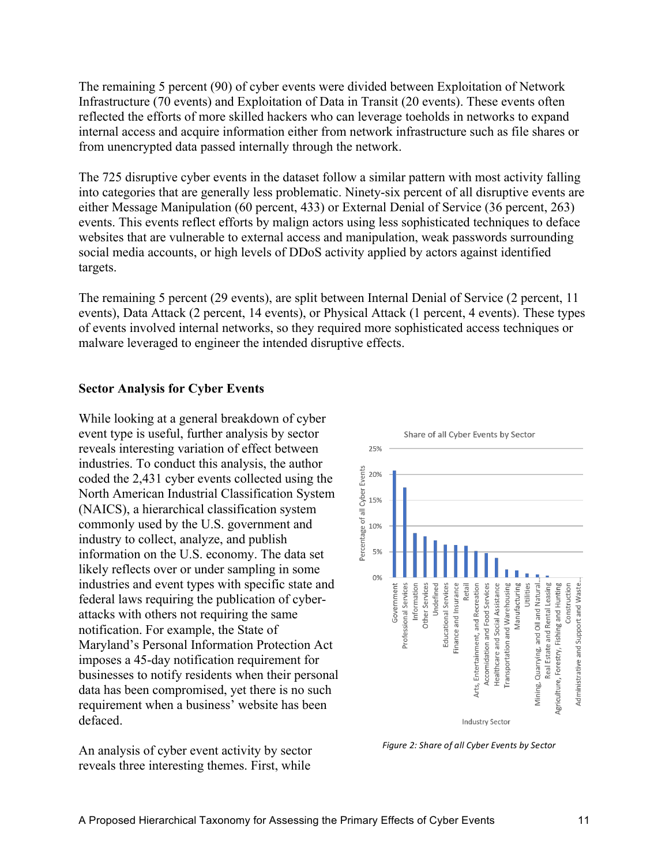The remaining 5 percent (90) of cyber events were divided between Exploitation of Network Infrastructure (70 events) and Exploitation of Data in Transit (20 events). These events often reflected the efforts of more skilled hackers who can leverage toeholds in networks to expand internal access and acquire information either from network infrastructure such as file shares or from unencrypted data passed internally through the network.

The 725 disruptive cyber events in the dataset follow a similar pattern with most activity falling into categories that are generally less problematic. Ninety-six percent of all disruptive events are either Message Manipulation (60 percent, 433) or External Denial of Service (36 percent, 263) events. This events reflect efforts by malign actors using less sophisticated techniques to deface websites that are vulnerable to external access and manipulation, weak passwords surrounding social media accounts, or high levels of DDoS activity applied by actors against identified targets.

The remaining 5 percent (29 events), are split between Internal Denial of Service (2 percent, 11 events), Data Attack (2 percent, 14 events), or Physical Attack (1 percent, 4 events). These types of events involved internal networks, so they required more sophisticated access techniques or malware leveraged to engineer the intended disruptive effects.

#### **Sector Analysis for Cyber Events**

While looking at a general breakdown of cyber event type is useful, further analysis by sector reveals interesting variation of effect between industries. To conduct this analysis, the author coded the 2,431 cyber events collected using the North American Industrial Classification System (NAICS), a hierarchical classification system commonly used by the U.S. government and industry to collect, analyze, and publish information on the U.S. economy. The data set likely reflects over or under sampling in some industries and event types with specific state and federal laws requiring the publication of cyberattacks with others not requiring the same notification. For example, the State of Maryland's Personal Information Protection Act imposes a 45-day notification requirement for businesses to notify residents when their personal data has been compromised, yet there is no such requirement when a business' website has been defaced.

An analysis of cyber event activity by sector reveals three interesting themes. First, while



Figure 2: Share of all Cyber Events by Sector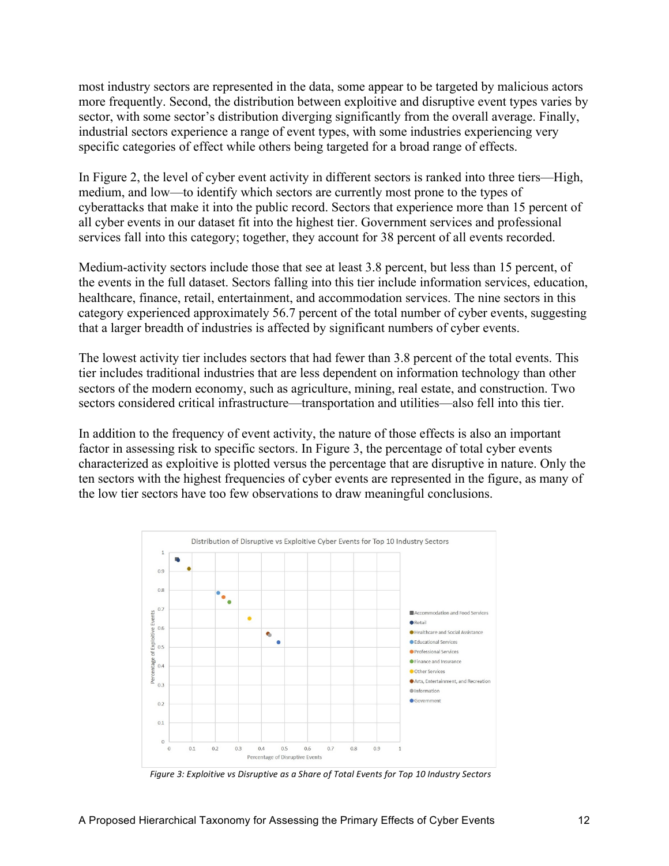most industry sectors are represented in the data, some appear to be targeted by malicious actors more frequently. Second, the distribution between exploitive and disruptive event types varies by sector, with some sector's distribution diverging significantly from the overall average. Finally, industrial sectors experience a range of event types, with some industries experiencing very specific categories of effect while others being targeted for a broad range of effects.

In Figure 2, the level of cyber event activity in different sectors is ranked into three tiers—High, medium, and low—to identify which sectors are currently most prone to the types of cyberattacks that make it into the public record. Sectors that experience more than 15 percent of all cyber events in our dataset fit into the highest tier. Government services and professional services fall into this category; together, they account for 38 percent of all events recorded.

Medium-activity sectors include those that see at least 3.8 percent, but less than 15 percent, of the events in the full dataset. Sectors falling into this tier include information services, education, healthcare, finance, retail, entertainment, and accommodation services. The nine sectors in this category experienced approximately 56.7 percent of the total number of cyber events, suggesting that a larger breadth of industries is affected by significant numbers of cyber events.

The lowest activity tier includes sectors that had fewer than 3.8 percent of the total events. This tier includes traditional industries that are less dependent on information technology than other sectors of the modern economy, such as agriculture, mining, real estate, and construction. Two sectors considered critical infrastructure—transportation and utilities—also fell into this tier.

In addition to the frequency of event activity, the nature of those effects is also an important factor in assessing risk to specific sectors. In Figure 3, the percentage of total cyber events characterized as exploitive is plotted versus the percentage that are disruptive in nature. Only the ten sectors with the highest frequencies of cyber events are represented in the figure, as many of the low tier sectors have too few observations to draw meaningful conclusions.



Figure 3: Exploitive vs Disruptive as a Share of Total Events for Top 10 Industry Sectors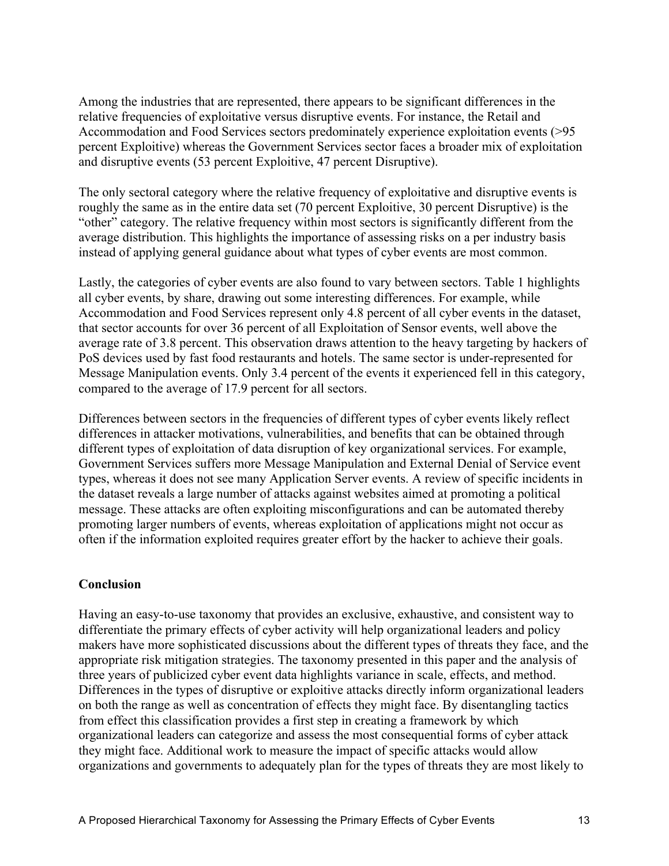Among the industries that are represented, there appears to be significant differences in the relative frequencies of exploitative versus disruptive events. For instance, the Retail and Accommodation and Food Services sectors predominately experience exploitation events (>95 percent Exploitive) whereas the Government Services sector faces a broader mix of exploitation and disruptive events (53 percent Exploitive, 47 percent Disruptive).

The only sectoral category where the relative frequency of exploitative and disruptive events is roughly the same as in the entire data set (70 percent Exploitive, 30 percent Disruptive) is the "other" category. The relative frequency within most sectors is significantly different from the average distribution. This highlights the importance of assessing risks on a per industry basis instead of applying general guidance about what types of cyber events are most common.

Lastly, the categories of cyber events are also found to vary between sectors. Table 1 highlights all cyber events, by share, drawing out some interesting differences. For example, while Accommodation and Food Services represent only 4.8 percent of all cyber events in the dataset, that sector accounts for over 36 percent of all Exploitation of Sensor events, well above the average rate of 3.8 percent. This observation draws attention to the heavy targeting by hackers of PoS devices used by fast food restaurants and hotels. The same sector is under-represented for Message Manipulation events. Only 3.4 percent of the events it experienced fell in this category, compared to the average of 17.9 percent for all sectors.

Differences between sectors in the frequencies of different types of cyber events likely reflect differences in attacker motivations, vulnerabilities, and benefits that can be obtained through different types of exploitation of data disruption of key organizational services. For example, Government Services suffers more Message Manipulation and External Denial of Service event types, whereas it does not see many Application Server events. A review of specific incidents in the dataset reveals a large number of attacks against websites aimed at promoting a political message. These attacks are often exploiting misconfigurations and can be automated thereby promoting larger numbers of events, whereas exploitation of applications might not occur as often if the information exploited requires greater effort by the hacker to achieve their goals.

## **Conclusion**

Having an easy-to-use taxonomy that provides an exclusive, exhaustive, and consistent way to differentiate the primary effects of cyber activity will help organizational leaders and policy makers have more sophisticated discussions about the different types of threats they face, and the appropriate risk mitigation strategies. The taxonomy presented in this paper and the analysis of three years of publicized cyber event data highlights variance in scale, effects, and method. Differences in the types of disruptive or exploitive attacks directly inform organizational leaders on both the range as well as concentration of effects they might face. By disentangling tactics from effect this classification provides a first step in creating a framework by which organizational leaders can categorize and assess the most consequential forms of cyber attack they might face. Additional work to measure the impact of specific attacks would allow organizations and governments to adequately plan for the types of threats they are most likely to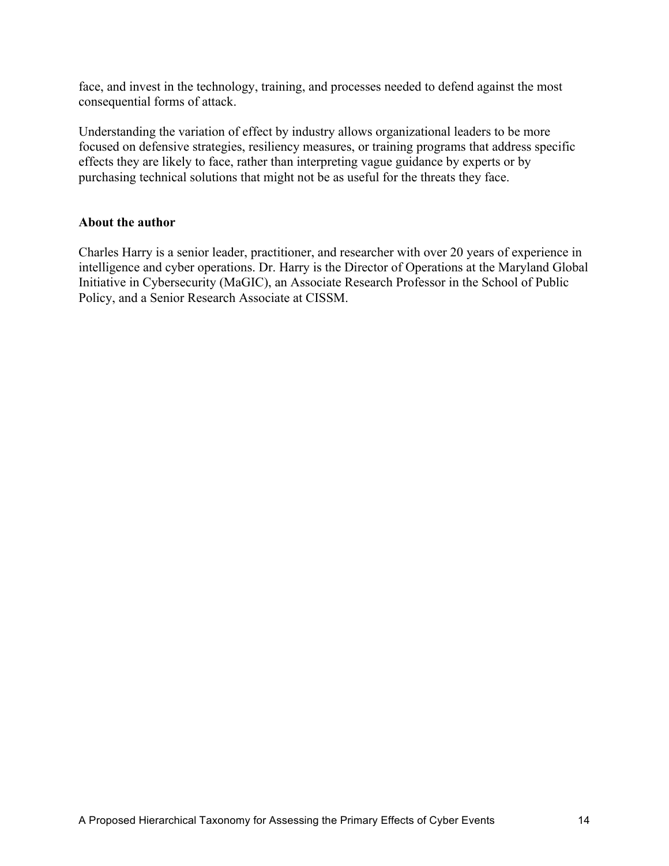face, and invest in the technology, training, and processes needed to defend against the most consequential forms of attack.

Understanding the variation of effect by industry allows organizational leaders to be more focused on defensive strategies, resiliency measures, or training programs that address specific effects they are likely to face, rather than interpreting vague guidance by experts or by purchasing technical solutions that might not be as useful for the threats they face.

#### **About the author**

Charles Harry is a senior leader, practitioner, and researcher with over 20 years of experience in intelligence and cyber operations. Dr. Harry is the Director of Operations at the Maryland Global Initiative in Cybersecurity (MaGIC), an Associate Research Professor in the School of Public Policy, and a Senior Research Associate at CISSM.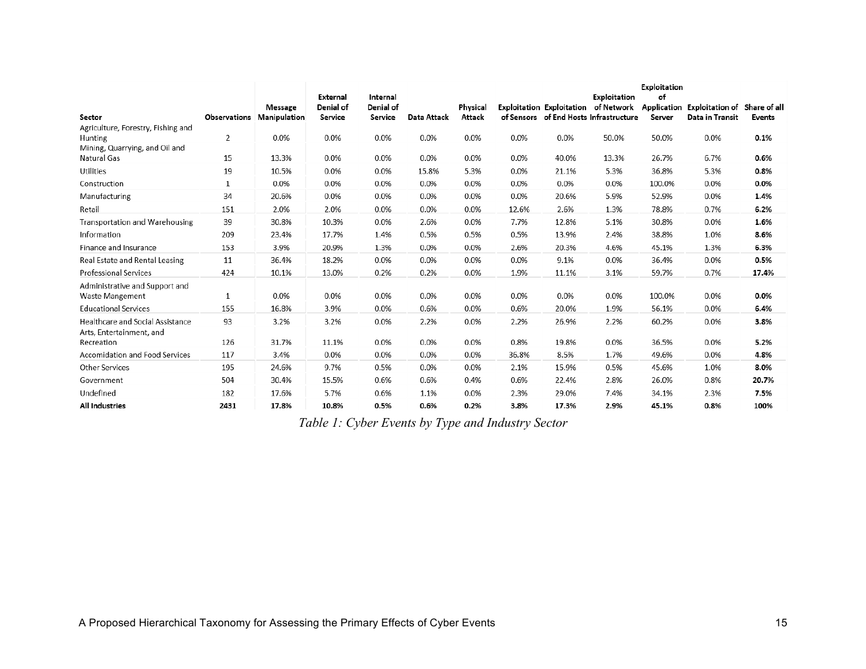| Sector                                                   | <b>Observations</b> | Message<br>Manipulation | External<br>Denial of<br>Service | Internal<br>Denial of<br>Service | <b>Data Attack</b> | Physical<br>Attack |       |       | Exploitation<br>Exploitation Exploitation of Network<br>of Sensors of End Hosts Infrastructure | Exploitation<br>of<br>Server | Application Exploitation of Share of all<br>Data in Transit | <b>Events</b> |
|----------------------------------------------------------|---------------------|-------------------------|----------------------------------|----------------------------------|--------------------|--------------------|-------|-------|------------------------------------------------------------------------------------------------|------------------------------|-------------------------------------------------------------|---------------|
| Agriculture, Forestry, Fishing and                       |                     |                         |                                  |                                  |                    |                    |       |       |                                                                                                |                              |                                                             |               |
| Hunting                                                  | $\overline{2}$      | 0.0%                    | 0.0%                             | 0.0%                             | 0.0%               | 0.0%               | 0.0%  | 0.0%  | 50.0%                                                                                          | 50.0%                        | 0.0%                                                        | 0.1%          |
| Mining, Quarrying, and Oil and<br>Natural Gas            | 15                  | 13.3%                   | 0.0%                             | 0.0%                             | 0.0%               | 0.0%               | 0.0%  | 40.0% | 13.3%                                                                                          | 26.7%                        | 6.7%                                                        | 0.6%          |
| <b>Utilities</b>                                         | 19                  | 10.5%                   | 0.0%                             | 0.0%                             | 15.8%              | 5.3%               | 0.0%  | 21.1% | 5.3%                                                                                           | 36.8%                        | 5.3%                                                        | 0.8%          |
| Construction                                             | 1                   | 0.0%                    | 0.0%                             | 0.0%                             | 0.0%               | 0.0%               | 0.0%  | 0.0%  | 0.0%                                                                                           | 100.0%                       | 0.0%                                                        | 0.0%          |
| Manufacturing                                            | 34                  | 20.6%                   | 0.0%                             | 0.0%                             | 0.0%               | 0.0%               | 0.0%  | 20.6% | 5.9%                                                                                           | 52.9%                        | 0.0%                                                        | 1.4%          |
| Retail                                                   | 151                 | 2.0%                    | 2.0%                             | 0.0%                             | 0.0%               | 0.0%               | 12.6% | 2.6%  | 1.3%                                                                                           | 78.8%                        | 0.7%                                                        | 6.2%          |
| <b>Transportation and Warehousing</b>                    | 39                  | 30.8%                   | 10.3%                            | 0.0%                             | 2.6%               | 0.0%               | 7.7%  | 12.8% | 5.1%                                                                                           | 30.8%                        | 0.0%                                                        | 1.6%          |
| Information                                              | 209                 | 23.4%                   | 17.7%                            | 1.4%                             | 0.5%               | 0.5%               | 0.5%  | 13.9% | 2.4%                                                                                           | 38.8%                        | 1.0%                                                        | 8.6%          |
| Finance and Insurance                                    | 153                 | 3.9%                    | 20.9%                            | 1.3%                             | 0.0%               | 0.0%               | 2.6%  | 20.3% | 4.6%                                                                                           | 45.1%                        | 1.3%                                                        | 6.3%          |
| Real Estate and Rental Leasing                           | 11                  | 36.4%                   | 18.2%                            | 0.0%                             | 0.0%               | 0.0%               | 0.0%  | 9.1%  | 0.0%                                                                                           | 36.4%                        | 0.0%                                                        | 0.5%          |
| Professional Services                                    | 424                 | 10.1%                   | 13.0%                            | 0.2%                             | 0.2%               | 0.0%               | 1.9%  | 11.1% | 3.1%                                                                                           | 59.7%                        | 0.7%                                                        | 17.4%         |
| Administrative and Support and<br><b>Waste Mangement</b> | 1                   | 0.0%                    | 0.0%                             | 0.0%                             | 0.0%               | 0.0%               | 0.0%  | 0.0%  | 0.0%                                                                                           | 100.0%                       | 0.0%                                                        | 0.0%          |
| <b>Educational Services</b>                              | 155                 | 16.8%                   | 3.9%                             | 0.0%                             | 0.6%               | 0.0%               | 0.6%  | 20.0% | 1.9%                                                                                           | 56.1%                        | 0.0%                                                        | 6.4%          |
| Healthcare and Social Assistance                         | 93                  | 3.2%                    | 3.2%                             | 0.0%                             | 2.2%               | 0.0%               | 2.2%  | 26.9% | 2.2%                                                                                           | 60.2%                        | 0.0%                                                        | 3.8%          |
| Arts, Entertainment, and<br>Recreation                   | 126                 | 31.7%                   | 11.1%                            | 0.0%                             | 0.0%               | 0.0%               | 0.8%  | 19.8% | 0.0%                                                                                           | 36.5%                        | 0.0%                                                        | 5.2%          |
| <b>Accomidation and Food Services</b>                    | 117                 | 3.4%                    | 0.0%                             | 0.0%                             | 0.0%               | 0.0%               | 36.8% | 8.5%  | 1.7%                                                                                           | 49.6%                        | 0.0%                                                        | 4.8%          |
| Other Services                                           | 195                 | 24.6%                   | 9.7%                             | 0.5%                             | 0.0%               | 0.0%               | 2.1%  | 15.9% | 0.5%                                                                                           | 45.6%                        | 1.0%                                                        | 8.0%          |
| Government                                               | 504                 | 30.4%                   | 15.5%                            | 0.6%                             | 0.6%               | 0.4%               | 0.6%  | 22.4% | 2.8%                                                                                           | 26.0%                        | 0.8%                                                        | 20.7%         |
| Undefined                                                | 182                 | 17.6%                   | 5.7%                             | 0.6%                             | 1.1%               | 0.0%               | 2.3%  | 29.0% | 7.4%                                                                                           | 34.1%                        | 2.3%                                                        | 7.5%          |
| <b>All Industries</b>                                    | 2431                | 17.8%                   | 10.8%                            | 0.5%                             | 0.6%               | 0.2%               | 3.8%  | 17.3% | 2.9%                                                                                           | 45.1%                        | 0.8%                                                        | 100%          |

*Table 1: Cyber Events by Type and Industry Sector*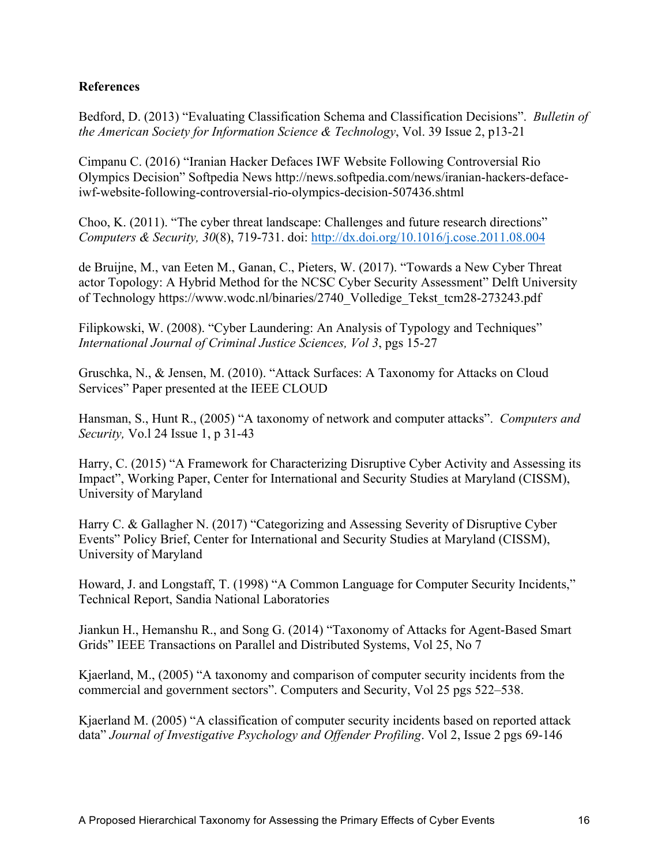# **References**

Bedford, D. (2013) "Evaluating Classification Schema and Classification Decisions". *Bulletin of the American Society for Information Science & Technology*, Vol. 39 Issue 2, p13-21

Cimpanu C. (2016) "Iranian Hacker Defaces IWF Website Following Controversial Rio Olympics Decision" Softpedia News http://news.softpedia.com/news/iranian-hackers-defaceiwf-website-following-controversial-rio-olympics-decision-507436.shtml

Choo, K. (2011). "The cyber threat landscape: Challenges and future research directions" *Computers & Security, 30*(8), 719-731. doi: http://dx.doi.org/10.1016/j.cose.2011.08.004

de Bruijne, M., van Eeten M., Ganan, C., Pieters, W. (2017). "Towards a New Cyber Threat actor Topology: A Hybrid Method for the NCSC Cyber Security Assessment" Delft University of Technology https://www.wodc.nl/binaries/2740\_Volledige\_Tekst\_tcm28-273243.pdf

Filipkowski, W. (2008). "Cyber Laundering: An Analysis of Typology and Techniques" *International Journal of Criminal Justice Sciences, Vol 3*, pgs 15-27

Gruschka, N., & Jensen, M. (2010). "Attack Surfaces: A Taxonomy for Attacks on Cloud Services" Paper presented at the IEEE CLOUD

Hansman, S., Hunt R., (2005) "A taxonomy of network and computer attacks". *Computers and Security,* Vo.l 24 Issue 1, p 31-43

Harry, C. (2015) "A Framework for Characterizing Disruptive Cyber Activity and Assessing its Impact", Working Paper, Center for International and Security Studies at Maryland (CISSM), University of Maryland

Harry C. & Gallagher N. (2017) "Categorizing and Assessing Severity of Disruptive Cyber Events" Policy Brief, Center for International and Security Studies at Maryland (CISSM), University of Maryland

Howard, J. and Longstaff, T. (1998) "A Common Language for Computer Security Incidents," Technical Report, Sandia National Laboratories

Jiankun H., Hemanshu R., and Song G. (2014) "Taxonomy of Attacks for Agent-Based Smart Grids" IEEE Transactions on Parallel and Distributed Systems, Vol 25, No 7

Kjaerland, M., (2005) "A taxonomy and comparison of computer security incidents from the commercial and government sectors". Computers and Security, Vol 25 pgs 522–538.

Kjaerland M. (2005) "A classification of computer security incidents based on reported attack data" *Journal of Investigative Psychology and Offender Profiling*. Vol 2, Issue 2 pgs 69-146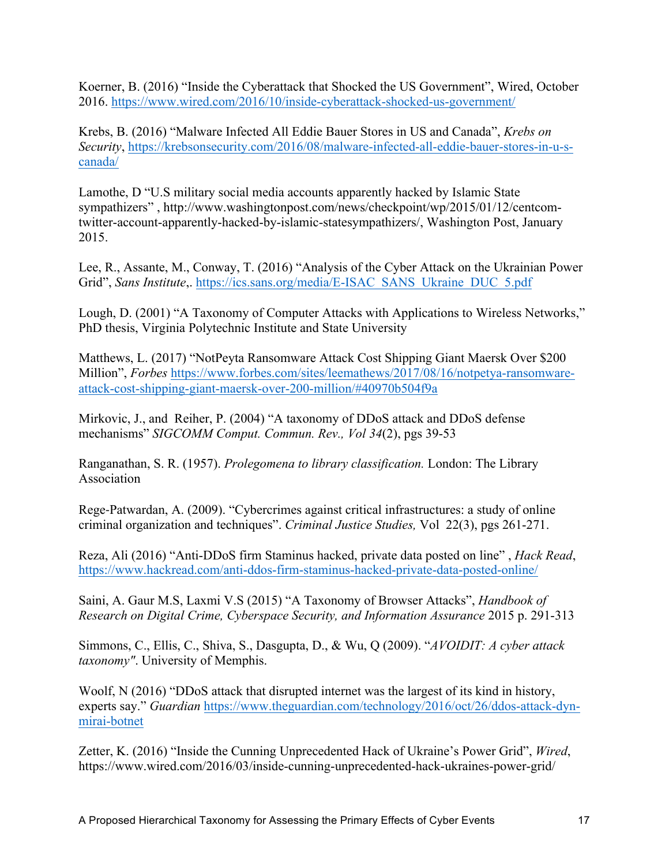Koerner, B. (2016) "Inside the Cyberattack that Shocked the US Government", Wired, October 2016. https://www.wired.com/2016/10/inside-cyberattack-shocked-us-government/

Krebs, B. (2016) "Malware Infected All Eddie Bauer Stores in US and Canada", *Krebs on Security*, https://krebsonsecurity.com/2016/08/malware-infected-all-eddie-bauer-stores-in-u-scanada/

Lamothe, D "U.S military social media accounts apparently hacked by Islamic State sympathizers" , http://www.washingtonpost.com/news/checkpoint/wp/2015/01/12/centcomtwitter-account-apparently-hacked-by-islamic-statesympathizers/, Washington Post, January 2015.

Lee, R., Assante, M., Conway, T. (2016) "Analysis of the Cyber Attack on the Ukrainian Power Grid", *Sans Institute*,. https://ics.sans.org/media/E-ISAC\_SANS\_Ukraine\_DUC\_5.pdf

Lough, D. (2001) "A Taxonomy of Computer Attacks with Applications to Wireless Networks," PhD thesis, Virginia Polytechnic Institute and State University

Matthews, L. (2017) "NotPeyta Ransomware Attack Cost Shipping Giant Maersk Over \$200 Million", *Forbes* https://www.forbes.com/sites/leemathews/2017/08/16/notpetya-ransomwareattack-cost-shipping-giant-maersk-over-200-million/#40970b504f9a

Mirkovic, J., and Reiher, P. (2004) "A taxonomy of DDoS attack and DDoS defense mechanisms" *SIGCOMM Comput. Commun. Rev., Vol 34*(2), pgs 39-53

Ranganathan, S. R. (1957). *Prolegomena to library classification.* London: The Library Association

Rege-Patwardan, A. (2009). "Cybercrimes against critical infrastructures: a study of online criminal organization and techniques". *Criminal Justice Studies,* Vol 22(3), pgs 261-271.

Reza, Ali (2016) "Anti-DDoS firm Staminus hacked, private data posted on line" , *Hack Read*, https://www.hackread.com/anti-ddos-firm-staminus-hacked-private-data-posted-online/

Saini, A. Gaur M.S, Laxmi V.S (2015) "A Taxonomy of Browser Attacks", *Handbook of Research on Digital Crime, Cyberspace Security, and Information Assurance* 2015 p. 291-313

Simmons, C., Ellis, C., Shiva, S., Dasgupta, D., & Wu, Q (2009). "*AVOIDIT: A cyber attack taxonomy"*. University of Memphis.

Woolf, N (2016) "DDoS attack that disrupted internet was the largest of its kind in history, experts say." *Guardian* https://www.theguardian.com/technology/2016/oct/26/ddos-attack-dynmirai-botnet

Zetter, K. (2016) "Inside the Cunning Unprecedented Hack of Ukraine's Power Grid", *Wired*, https://www.wired.com/2016/03/inside-cunning-unprecedented-hack-ukraines-power-grid/